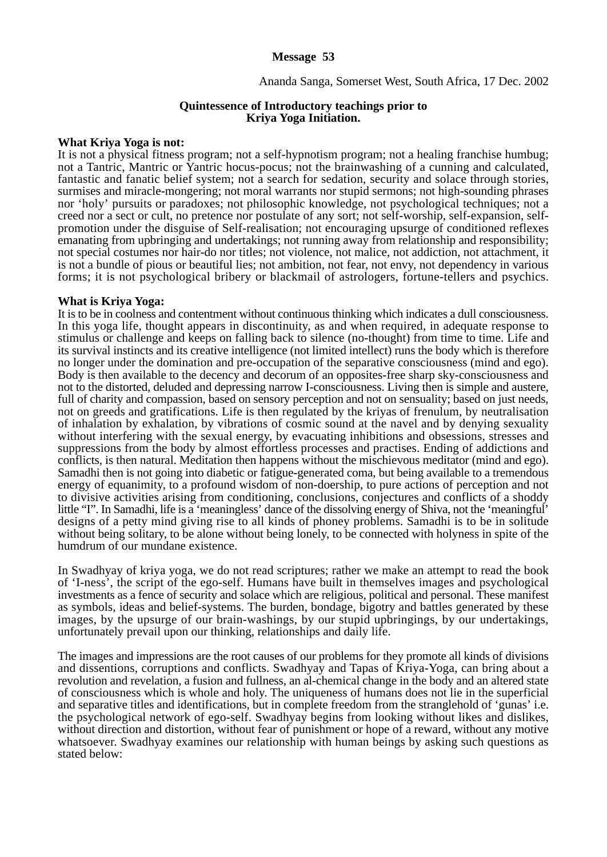# **Message 53**

## Ananda Sanga, Somerset West, South Africa, 17 Dec. 2002

### **Quintessence of Introductory teachings prior to Kriya Yoga Initiation.**

#### **What Kriya Yoga is not:**

It is not a physical fitness program; not a self-hypnotism program; not a healing franchise humbug; not a Tantric, Mantric or Yantric hocus-pocus; not the brainwashing of a cunning and calculated, fantastic and fanatic belief system; not a search for sedation, security and solace through stories, surmises and miracle-mongering; not moral warrants nor stupid sermons; not high-sounding phrases nor 'holy' pursuits or paradoxes; not philosophic knowledge, not psychological techniques; not a creed nor a sect or cult, no pretence nor postulate of any sort; not self-worship, self-expansion, selfpromotion under the disguise of Self-realisation; not encouraging upsurge of conditioned reflexes emanating from upbringing and undertakings; not running away from relationship and responsibility; not special costumes nor hair-do nor titles; not violence, not malice, not addiction, not attachment, it is not a bundle of pious or beautiful lies; not ambition, not fear, not envy, not dependency in various forms; it is not psychological bribery or blackmail of astrologers, fortune-tellers and psychics.

#### **What is Kriya Yoga:**

It is to be in coolness and contentment without continuous thinking which indicates a dull consciousness. In this yoga life, thought appears in discontinuity, as and when required, in adequate response to stimulus or challenge and keeps on falling back to silence (no-thought) from time to time. Life and its survival instincts and its creative intelligence (not limited intellect) runs the body which is therefore no longer under the domination and pre-occupation of the separative consciousness (mind and ego). Body is then available to the decency and decorum of an opposites-free sharp sky-consciousness and not to the distorted, deluded and depressing narrow I-consciousness. Living then is simple and austere, full of charity and compassion, based on sensory perception and not on sensuality; based on just needs, not on greeds and gratifications. Life is then regulated by the kriyas of frenulum, by neutralisation of inhalation by exhalation, by vibrations of cosmic sound at the navel and by denying sexuality without interfering with the sexual energy, by evacuating inhibitions and obsessions, stresses and suppressions from the body by almost effortless processes and practises. Ending of addictions and conflicts, is then natural. Meditation then happens without the mischievous meditator (mind and ego). Samadhi then is not going into diabetic or fatigue-generated coma, but being available to a tremendous energy of equanimity, to a profound wisdom of non-doership, to pure actions of perception and not to divisive activities arising from conditioning, conclusions, conjectures and conflicts of a shoddy little "I". In Samadhi, life is a 'meaningless' dance of the dissolving energy of Shiva, not the 'meaningful' designs of a petty mind giving rise to all kinds of phoney problems. Samadhi is to be in solitude without being solitary, to be alone without being lonely, to be connected with holyness in spite of the humdrum of our mundane existence.

In Swadhyay of kriya yoga, we do not read scriptures; rather we make an attempt to read the book of 'I-ness', the script of the ego-self. Humans have built in themselves images and psychological investments as a fence of security and solace which are religious, political and personal. These manifest as symbols, ideas and belief-systems. The burden, bondage, bigotry and battles generated by these images, by the upsurge of our brain-washings, by our stupid upbringings, by our undertakings, unfortunately prevail upon our thinking, relationships and daily life.

The images and impressions are the root causes of our problems for they promote all kinds of divisions and dissentions, corruptions and conflicts. Swadhyay and Tapas of Kriya-Yoga, can bring about a revolution and revelation, a fusion and fullness, an al-chemical change in the body and an altered state of consciousness which is whole and holy. The uniqueness of humans does not lie in the superficial and separative titles and identifications, but in complete freedom from the stranglehold of 'gunas' i.e. the psychological network of ego-self. Swadhyay begins from looking without likes and dislikes, without direction and distortion, without fear of punishment or hope of a reward, without any motive whatsoever. Swadhyay examines our relationship with human beings by asking such questions as stated below: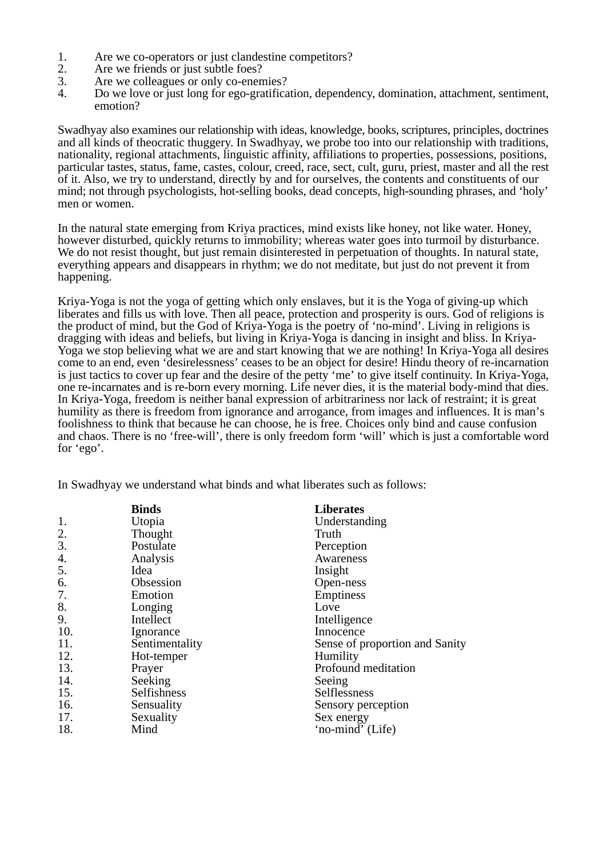- 1. Are we co-operators or just clandestine competitors?
- 2. Are we friends or just subtle foes?
- 3. Are we colleagues or only co-enemies?
- 4. Do we love or just long for ego-gratification, dependency, domination, attachment, sentiment, emotion?

Swadhyay also examines our relationship with ideas, knowledge, books, scriptures, principles, doctrines and all kinds of theocratic thuggery. In Swadhyay, we probe too into our relationship with traditions, nationality, regional attachments, linguistic affinity, affiliations to properties, possessions, positions, particular tastes, status, fame, castes, colour, creed, race, sect, cult, guru, priest, master and all the rest of it. Also, we try to understand, directly by and for ourselves, the contents and constituents of our mind; not through psychologists, hot-selling books, dead concepts, high-sounding phrases, and 'holy' men or women.

In the natural state emerging from Kriya practices, mind exists like honey, not like water. Honey, however disturbed, quickly returns to immobility; whereas water goes into turmoil by disturbance. We do not resist thought, but just remain disinterested in perpetuation of thoughts. In natural state, everything appears and disappears in rhythm; we do not meditate, but just do not prevent it from happening.

Kriya-Yoga is not the yoga of getting which only enslaves, but it is the Yoga of giving-up which liberates and fills us with love. Then all peace, protection and prosperity is ours. God of religions is the product of mind, but the God of Kriya-Yoga is the poetry of 'no-mind'. Living in religions is dragging with ideas and beliefs, but living in Kriya-Yoga is dancing in insight and bliss. In Kriya-Yoga we stop believing what we are and start knowing that we are nothing! In Kriya-Yoga all desires come to an end, even 'desirelessness' ceases to be an object for desire! Hindu theory of re-incarnation is just tactics to cover up fear and the desire of the petty 'me' to give itself continuity. In Kriya-Yoga, one re-incarnates and is re-born every morning. Life never dies, it is the material body-mind that dies. In Kriya-Yoga, freedom is neither banal expression of arbitrariness nor lack of restraint; it is great humility as there is freedom from ignorance and arrogance, from images and influences. It is man's foolishness to think that because he can choose, he is free. Choices only bind and cause confusion and chaos. There is no 'free-will', there is only freedom form 'will' which is just a comfortable word for 'ego'.

In Swadhyay we understand what binds and what liberates such as follows:

|     | <b>Binds</b>   | <b>Liberates</b>               |
|-----|----------------|--------------------------------|
| 1.  | Utopia         | Understanding                  |
| 2.  | Thought        | Truth                          |
| 3.  | Postulate      | Perception                     |
| 4.  | Analysis       | Awareness                      |
| 5.  | Idea           | Insight                        |
| 6.  | Obsession      | Open-ness                      |
| 7.  | Emotion        | Emptiness                      |
| 8.  | Longing        | Love                           |
| 9.  | Intellect      | Intelligence                   |
| 10. | Ignorance      | Innocence                      |
| 11. | Sentimentality | Sense of proportion and Sanity |
| 12. | Hot-temper     | Humility                       |
| 13. | Prayer         | Profound meditation            |
| 14. | Seeking        | Seeing                         |
| 15. | Selfishness    | Selflessness                   |
| 16. | Sensuality     | Sensory perception             |
| 17. | Sexuality      | Sex energy                     |
| 18. | Mind           | 'no-mind' (Life)               |